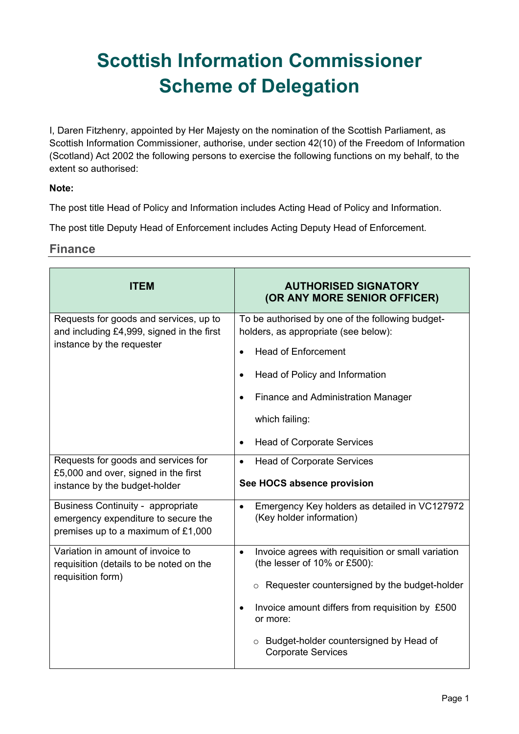# **Scottish Information Commissioner Scheme of Delegation**

I, Daren Fitzhenry, appointed by Her Majesty on the nomination of the Scottish Parliament, as Scottish Information Commissioner, authorise, under section 42(10) of the Freedom of Information (Scotland) Act 2002 the following persons to exercise the following functions on my behalf, to the extent so authorised:

#### **Note:**

The post title Head of Policy and Information includes Acting Head of Policy and Information.

The post title Deputy Head of Enforcement includes Acting Deputy Head of Enforcement.

#### **Finance**

| <b>ITEM</b>                                                                                                           | <b>AUTHORISED SIGNATORY</b><br>(OR ANY MORE SENIOR OFFICER)                                                                                                                                                                                                                                     |
|-----------------------------------------------------------------------------------------------------------------------|-------------------------------------------------------------------------------------------------------------------------------------------------------------------------------------------------------------------------------------------------------------------------------------------------|
| Requests for goods and services, up to<br>and including £4,999, signed in the first<br>instance by the requester      | To be authorised by one of the following budget-<br>holders, as appropriate (see below):<br><b>Head of Enforcement</b><br>Head of Policy and Information<br><b>Finance and Administration Manager</b><br>which failing:<br><b>Head of Corporate Services</b><br>$\bullet$                       |
| Requests for goods and services for<br>£5,000 and over, signed in the first<br>instance by the budget-holder          | <b>Head of Corporate Services</b><br>$\bullet$<br>See HOCS absence provision                                                                                                                                                                                                                    |
| <b>Business Continuity - appropriate</b><br>emergency expenditure to secure the<br>premises up to a maximum of £1,000 | Emergency Key holders as detailed in VC127972<br>$\bullet$<br>(Key holder information)                                                                                                                                                                                                          |
| Variation in amount of invoice to<br>requisition (details to be noted on the<br>requisition form)                     | Invoice agrees with requisition or small variation<br>$\bullet$<br>(the lesser of 10% or £500):<br>$\circ$ Requester countersigned by the budget-holder<br>Invoice amount differs from requisition by £500<br>or more:<br>o Budget-holder countersigned by Head of<br><b>Corporate Services</b> |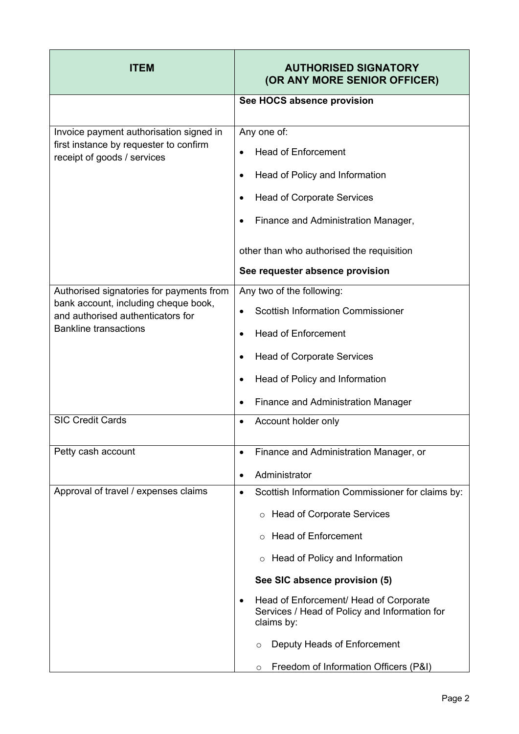| <b>ITEM</b>                                                                                                                                                                      | <b>AUTHORISED SIGNATORY</b><br>(OR ANY MORE SENIOR OFFICER)                                                                                                                                                                                                                                                                                                                                                                  |
|----------------------------------------------------------------------------------------------------------------------------------------------------------------------------------|------------------------------------------------------------------------------------------------------------------------------------------------------------------------------------------------------------------------------------------------------------------------------------------------------------------------------------------------------------------------------------------------------------------------------|
|                                                                                                                                                                                  | See HOCS absence provision                                                                                                                                                                                                                                                                                                                                                                                                   |
| Invoice payment authorisation signed in<br>first instance by requester to confirm<br>receipt of goods / services                                                                 | Any one of:<br><b>Head of Enforcement</b><br>Head of Policy and Information<br><b>Head of Corporate Services</b><br>Finance and Administration Manager,<br>other than who authorised the requisition                                                                                                                                                                                                                         |
|                                                                                                                                                                                  | See requester absence provision                                                                                                                                                                                                                                                                                                                                                                                              |
| Authorised signatories for payments from<br>bank account, including cheque book,<br>and authorised authenticators for<br><b>Bankline transactions</b><br><b>SIC Credit Cards</b> | Any two of the following:<br><b>Scottish Information Commissioner</b><br><b>Head of Enforcement</b><br><b>Head of Corporate Services</b><br>Head of Policy and Information<br><b>Finance and Administration Manager</b><br>Account holder only                                                                                                                                                                               |
| Petty cash account                                                                                                                                                               | Finance and Administration Manager, or<br>٠<br>Administrator<br>٠                                                                                                                                                                                                                                                                                                                                                            |
| Approval of travel / expenses claims                                                                                                                                             | Scottish Information Commissioner for claims by:<br>$\bullet$<br><b>Head of Corporate Services</b><br>$\circ$<br><b>Head of Enforcement</b><br>$\circ$<br>$\circ$ Head of Policy and Information<br>See SIC absence provision (5)<br>Head of Enforcement/ Head of Corporate<br>Services / Head of Policy and Information for<br>claims by:<br>Deputy Heads of Enforcement<br>O<br>Freedom of Information Officers (P&I)<br>O |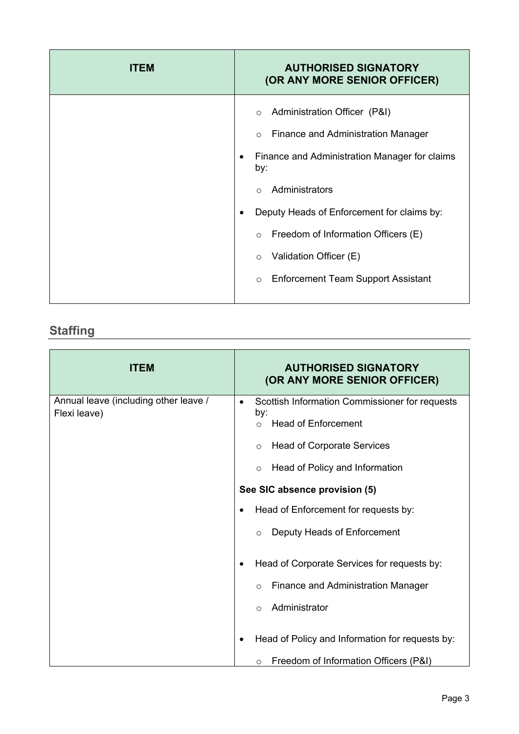| <b>ITEM</b> | <b>AUTHORISED SIGNATORY</b><br>(OR ANY MORE SENIOR OFFICER)                                                                                                                                                                                                                                                                                                                      |
|-------------|----------------------------------------------------------------------------------------------------------------------------------------------------------------------------------------------------------------------------------------------------------------------------------------------------------------------------------------------------------------------------------|
|             | Administration Officer (P&I)<br>$\circ$<br><b>Finance and Administration Manager</b><br>$\circ$<br>Finance and Administration Manager for claims<br>by:<br>Administrators<br>$\bigcap$<br>Deputy Heads of Enforcement for claims by:<br>$\circ$ Freedom of Information Officers (E)<br>Validation Officer (E)<br>$\circ$<br><b>Enforcement Team Support Assistant</b><br>$\circ$ |

#### **Staffing**

| <b>ITEM</b>                                           | <b>AUTHORISED SIGNATORY</b><br>(OR ANY MORE SENIOR OFFICER)                                                                                                 |
|-------------------------------------------------------|-------------------------------------------------------------------------------------------------------------------------------------------------------------|
| Annual leave (including other leave /<br>Flexi leave) | Scottish Information Commissioner for requests<br>$\bullet$<br>by:<br><b>Head of Enforcement</b><br>$\circ$<br><b>Head of Corporate Services</b><br>$\circ$ |
|                                                       | Head of Policy and Information<br>$\circ$                                                                                                                   |
|                                                       | See SIC absence provision (5)                                                                                                                               |
|                                                       | Head of Enforcement for requests by:<br>٠                                                                                                                   |
|                                                       | Deputy Heads of Enforcement<br>$\bigcirc$                                                                                                                   |
|                                                       | Head of Corporate Services for requests by:<br>٠                                                                                                            |
|                                                       | <b>Finance and Administration Manager</b><br>$\circ$                                                                                                        |
|                                                       | Administrator<br>$\circ$                                                                                                                                    |
|                                                       | Head of Policy and Information for requests by:                                                                                                             |
|                                                       | Freedom of Information Officers (P&I)<br>$\circ$                                                                                                            |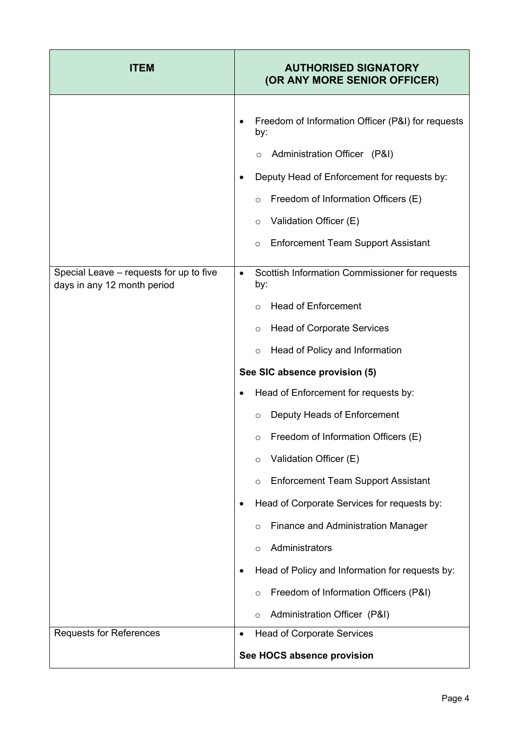| <b>ITEM</b>                                                            | <b>AUTHORISED SIGNATORY</b><br>(OR ANY MORE SENIOR OFFICER)                                                                                                                                                                                                                                                                                                                                                                                                  |
|------------------------------------------------------------------------|--------------------------------------------------------------------------------------------------------------------------------------------------------------------------------------------------------------------------------------------------------------------------------------------------------------------------------------------------------------------------------------------------------------------------------------------------------------|
|                                                                        | Freedom of Information Officer (P&I) for requests<br>by:<br>Administration Officer (P&I)<br>$\circ$<br>Deputy Head of Enforcement for requests by:<br>٠<br>Freedom of Information Officers (E)<br>$\circ$<br>Validation Officer (E)<br>$\circ$<br><b>Enforcement Team Support Assistant</b><br>$\circ$                                                                                                                                                       |
| Special Leave - requests for up to five<br>days in any 12 month period | Scottish Information Commissioner for requests<br>$\bullet$<br>by:<br><b>Head of Enforcement</b><br><b>Head of Corporate Services</b><br>$\circ$                                                                                                                                                                                                                                                                                                             |
|                                                                        | Head of Policy and Information<br>$\circ$<br>See SIC absence provision (5)                                                                                                                                                                                                                                                                                                                                                                                   |
|                                                                        | Head of Enforcement for requests by:<br>٠<br>Deputy Heads of Enforcement<br>$\circ$<br>Freedom of Information Officers (E)<br>Validation Officer (E)<br>$\circ$<br><b>Enforcement Team Support Assistant</b><br>$\circ$<br>Head of Corporate Services for requests by:<br><b>Finance and Administration Manager</b><br>$\circ$<br>Administrators<br>O<br>Head of Policy and Information for requests by:<br>Freedom of Information Officers (P&I)<br>$\circ$ |
| <b>Requests for References</b>                                         | Administration Officer (P&I)<br>$\circ$<br><b>Head of Corporate Services</b><br>See HOCS absence provision                                                                                                                                                                                                                                                                                                                                                   |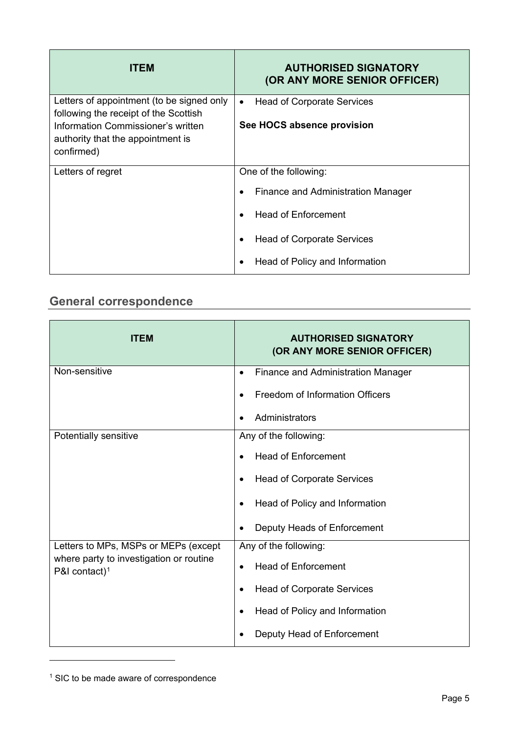| <b>ITEM</b>                                                                                                                                                                 | <b>AUTHORISED SIGNATORY</b><br>(OR ANY MORE SENIOR OFFICER)                  |
|-----------------------------------------------------------------------------------------------------------------------------------------------------------------------------|------------------------------------------------------------------------------|
| Letters of appointment (to be signed only<br>following the receipt of the Scottish<br>Information Commissioner's written<br>authority that the appointment is<br>confirmed) | <b>Head of Corporate Services</b><br>$\bullet$<br>See HOCS absence provision |
| Letters of regret                                                                                                                                                           | One of the following:                                                        |
|                                                                                                                                                                             | <b>Finance and Administration Manager</b>                                    |
|                                                                                                                                                                             | <b>Head of Enforcement</b>                                                   |
|                                                                                                                                                                             | <b>Head of Corporate Services</b>                                            |
|                                                                                                                                                                             | Head of Policy and Information                                               |

## **General correspondence**

| <b>ITEM</b>                                                          | <b>AUTHORISED SIGNATORY</b><br>(OR ANY MORE SENIOR OFFICER) |
|----------------------------------------------------------------------|-------------------------------------------------------------|
| Non-sensitive                                                        | <b>Finance and Administration Manager</b><br>$\bullet$      |
|                                                                      | Freedom of Information Officers                             |
|                                                                      | Administrators                                              |
| Potentially sensitive                                                | Any of the following:                                       |
|                                                                      | <b>Head of Enforcement</b>                                  |
|                                                                      | <b>Head of Corporate Services</b><br>$\bullet$              |
|                                                                      | Head of Policy and Information                              |
|                                                                      | Deputy Heads of Enforcement                                 |
| Letters to MPs, MSPs or MEPs (except                                 | Any of the following:                                       |
| where party to investigation or routine<br>P&I contact) <sup>1</sup> | <b>Head of Enforcement</b><br>$\bullet$                     |
|                                                                      | <b>Head of Corporate Services</b><br>٠                      |
|                                                                      | Head of Policy and Information<br>$\bullet$                 |
|                                                                      | Deputy Head of Enforcement                                  |

<sup>&</sup>lt;sup>1</sup> SIC to be made aware of correspondence

 $\overline{a}$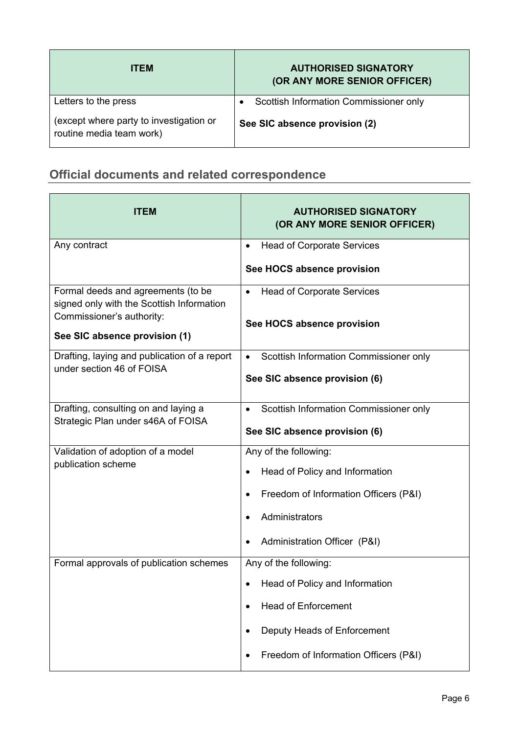| <b>ITEM</b>                                                         | <b>AUTHORISED SIGNATORY</b><br>(OR ANY MORE SENIOR OFFICER) |
|---------------------------------------------------------------------|-------------------------------------------------------------|
| Letters to the press                                                | Scottish Information Commissioner only                      |
| (except where party to investigation or<br>routine media team work) | See SIC absence provision (2)                               |

#### **Official documents and related correspondence**

| ITEM                                                                            | <b>AUTHORISED SIGNATORY</b><br>(OR ANY MORE SENIOR OFFICER) |
|---------------------------------------------------------------------------------|-------------------------------------------------------------|
| Any contract                                                                    | <b>Head of Corporate Services</b><br>$\bullet$              |
|                                                                                 | See HOCS absence provision                                  |
| Formal deeds and agreements (to be<br>signed only with the Scottish Information | <b>Head of Corporate Services</b><br>$\bullet$              |
| Commissioner's authority:                                                       | See HOCS absence provision                                  |
| See SIC absence provision (1)                                                   |                                                             |
| Drafting, laying and publication of a report<br>under section 46 of FOISA       | Scottish Information Commissioner only<br>$\bullet$         |
|                                                                                 | See SIC absence provision (6)                               |
| Drafting, consulting on and laying a<br>Strategic Plan under s46A of FOISA      | Scottish Information Commissioner only                      |
|                                                                                 | See SIC absence provision (6)                               |
| Validation of adoption of a model<br>publication scheme                         | Any of the following:                                       |
|                                                                                 | Head of Policy and Information                              |
|                                                                                 | Freedom of Information Officers (P&I)                       |
|                                                                                 | Administrators                                              |
|                                                                                 | Administration Officer (P&I)                                |
| Formal approvals of publication schemes                                         | Any of the following:                                       |
|                                                                                 | Head of Policy and Information<br>٠                         |
|                                                                                 | <b>Head of Enforcement</b>                                  |
|                                                                                 | Deputy Heads of Enforcement                                 |
|                                                                                 | Freedom of Information Officers (P&I)                       |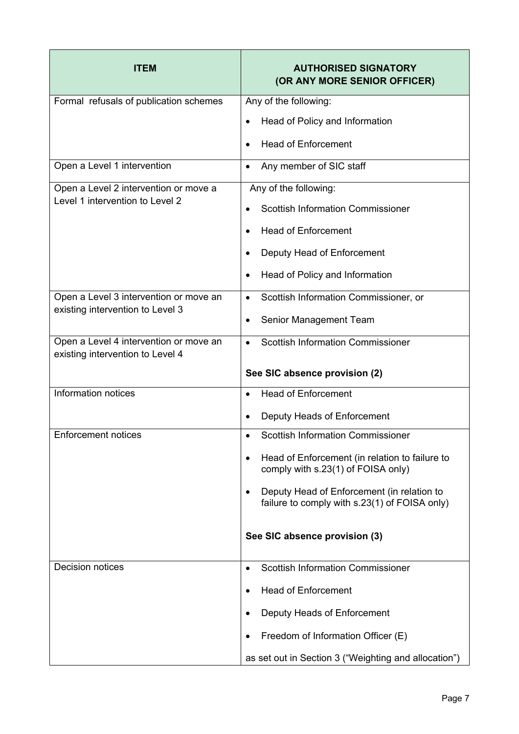| <b>ITEM</b>                                                                | <b>AUTHORISED SIGNATORY</b><br>(OR ANY MORE SENIOR OFFICER)                                 |
|----------------------------------------------------------------------------|---------------------------------------------------------------------------------------------|
| Formal refusals of publication schemes                                     | Any of the following:                                                                       |
|                                                                            | Head of Policy and Information                                                              |
|                                                                            | <b>Head of Enforcement</b>                                                                  |
| Open a Level 1 intervention                                                | Any member of SIC staff<br>$\bullet$                                                        |
| Open a Level 2 intervention or move a                                      | Any of the following:                                                                       |
| Level 1 intervention to Level 2                                            | <b>Scottish Information Commissioner</b>                                                    |
|                                                                            | <b>Head of Enforcement</b>                                                                  |
|                                                                            | Deputy Head of Enforcement                                                                  |
|                                                                            | Head of Policy and Information                                                              |
| Open a Level 3 intervention or move an                                     | Scottish Information Commissioner, or<br>$\bullet$                                          |
| existing intervention to Level 3                                           | Senior Management Team                                                                      |
| Open a Level 4 intervention or move an<br>existing intervention to Level 4 | <b>Scottish Information Commissioner</b><br>$\bullet$                                       |
|                                                                            | See SIC absence provision (2)                                                               |
| Information notices                                                        | <b>Head of Enforcement</b><br>$\bullet$                                                     |
|                                                                            | Deputy Heads of Enforcement<br>$\bullet$                                                    |
| <b>Enforcement notices</b>                                                 | <b>Scottish Information Commissioner</b>                                                    |
|                                                                            | Head of Enforcement (in relation to failure to<br>comply with s.23(1) of FOISA only)        |
|                                                                            | Deputy Head of Enforcement (in relation to<br>failure to comply with s.23(1) of FOISA only) |
|                                                                            | See SIC absence provision (3)                                                               |
| <b>Decision notices</b>                                                    | <b>Scottish Information Commissioner</b><br>$\bullet$                                       |
|                                                                            | <b>Head of Enforcement</b>                                                                  |
|                                                                            | Deputy Heads of Enforcement                                                                 |
|                                                                            | Freedom of Information Officer (E)                                                          |
|                                                                            | as set out in Section 3 ("Weighting and allocation")                                        |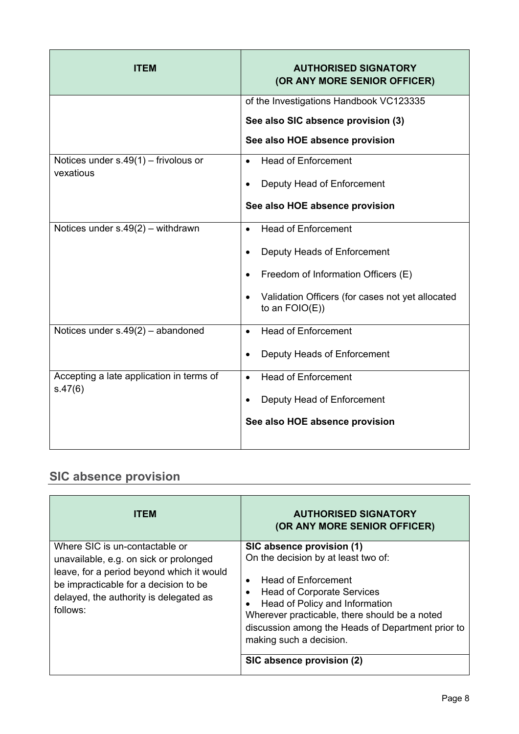| <b>ITEM</b>                              | <b>AUTHORISED SIGNATORY</b><br>(OR ANY MORE SENIOR OFFICER)           |
|------------------------------------------|-----------------------------------------------------------------------|
|                                          | of the Investigations Handbook VC123335                               |
|                                          | See also SIC absence provision (3)                                    |
|                                          | See also HOE absence provision                                        |
| Notices under $s.49(1)$ – frivolous or   | <b>Head of Enforcement</b><br>$\bullet$                               |
| vexatious                                | Deputy Head of Enforcement                                            |
|                                          | See also HOE absence provision                                        |
| Notices under $s.49(2)$ – withdrawn      | <b>Head of Enforcement</b><br>$\bullet$                               |
|                                          | Deputy Heads of Enforcement<br>$\bullet$                              |
|                                          | Freedom of Information Officers (E)                                   |
|                                          | Validation Officers (for cases not yet allocated<br>to an $FOIO(E)$ ) |
| Notices under $s.49(2)$ – abandoned      | <b>Head of Enforcement</b><br>$\bullet$                               |
|                                          | Deputy Heads of Enforcement<br>$\bullet$                              |
| Accepting a late application in terms of | <b>Head of Enforcement</b><br>$\bullet$                               |
| s.47(6)                                  | Deputy Head of Enforcement                                            |
|                                          | See also HOE absence provision                                        |

#### **SIC absence provision**

| <b>ITEM</b>                                                                                                                                                                                                          | <b>AUTHORISED SIGNATORY</b><br>(OR ANY MORE SENIOR OFFICER)                                                                                                                                                                                                                                                                                    |
|----------------------------------------------------------------------------------------------------------------------------------------------------------------------------------------------------------------------|------------------------------------------------------------------------------------------------------------------------------------------------------------------------------------------------------------------------------------------------------------------------------------------------------------------------------------------------|
| Where SIC is un-contactable or<br>unavailable, e.g. on sick or prolonged<br>leave, for a period beyond which it would<br>be impracticable for a decision to be<br>delayed, the authority is delegated as<br>follows: | SIC absence provision (1)<br>On the decision by at least two of:<br>Head of Enforcement<br>$\bullet$<br><b>Head of Corporate Services</b><br>٠<br>Head of Policy and Information<br>Wherever practicable, there should be a noted<br>discussion among the Heads of Department prior to<br>making such a decision.<br>SIC absence provision (2) |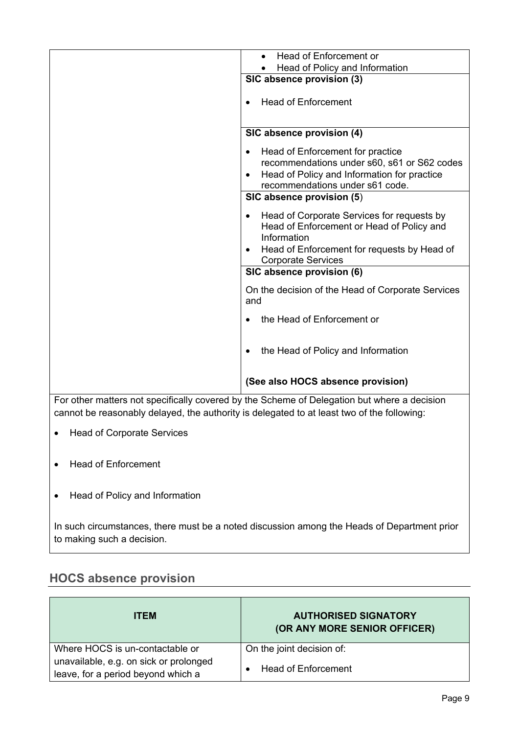|                                                                                            | Head of Enforcement or                                                                      |  |
|--------------------------------------------------------------------------------------------|---------------------------------------------------------------------------------------------|--|
|                                                                                            | Head of Policy and Information                                                              |  |
|                                                                                            | SIC absence provision (3)                                                                   |  |
|                                                                                            |                                                                                             |  |
|                                                                                            | <b>Head of Enforcement</b>                                                                  |  |
|                                                                                            |                                                                                             |  |
|                                                                                            |                                                                                             |  |
|                                                                                            |                                                                                             |  |
|                                                                                            | SIC absence provision (4)                                                                   |  |
|                                                                                            | Head of Enforcement for practice                                                            |  |
|                                                                                            | recommendations under s60, s61 or S62 codes                                                 |  |
|                                                                                            |                                                                                             |  |
|                                                                                            | Head of Policy and Information for practice                                                 |  |
|                                                                                            | recommendations under s61 code.                                                             |  |
|                                                                                            | SIC absence provision (5)                                                                   |  |
|                                                                                            | Head of Corporate Services for requests by                                                  |  |
|                                                                                            |                                                                                             |  |
|                                                                                            | Head of Enforcement or Head of Policy and                                                   |  |
|                                                                                            | Information                                                                                 |  |
|                                                                                            | Head of Enforcement for requests by Head of                                                 |  |
|                                                                                            | <b>Corporate Services</b>                                                                   |  |
|                                                                                            | SIC absence provision (6)                                                                   |  |
|                                                                                            | On the decision of the Head of Corporate Services                                           |  |
|                                                                                            | and                                                                                         |  |
|                                                                                            |                                                                                             |  |
|                                                                                            | the Head of Enforcement or                                                                  |  |
|                                                                                            |                                                                                             |  |
|                                                                                            |                                                                                             |  |
|                                                                                            | the Head of Policy and Information                                                          |  |
|                                                                                            |                                                                                             |  |
|                                                                                            |                                                                                             |  |
|                                                                                            | (See also HOCS absence provision)                                                           |  |
|                                                                                            |                                                                                             |  |
|                                                                                            | For other matters not specifically covered by the Scheme of Delegation but where a decision |  |
| cannot be reasonably delayed, the authority is delegated to at least two of the following: |                                                                                             |  |

- Head of Corporate Services
- Head of Enforcement
- Head of Policy and Information

In such circumstances, there must be a noted discussion among the Heads of Department prior to making such a decision.

#### **HOCS absence provision**

| <b>ITEM</b>                                                                  | <b>AUTHORISED SIGNATORY</b><br>(OR ANY MORE SENIOR OFFICER) |
|------------------------------------------------------------------------------|-------------------------------------------------------------|
| Where HOCS is un-contactable or                                              | On the joint decision of:                                   |
| unavailable, e.g. on sick or prolonged<br>leave, for a period beyond which a | Head of Enforcement                                         |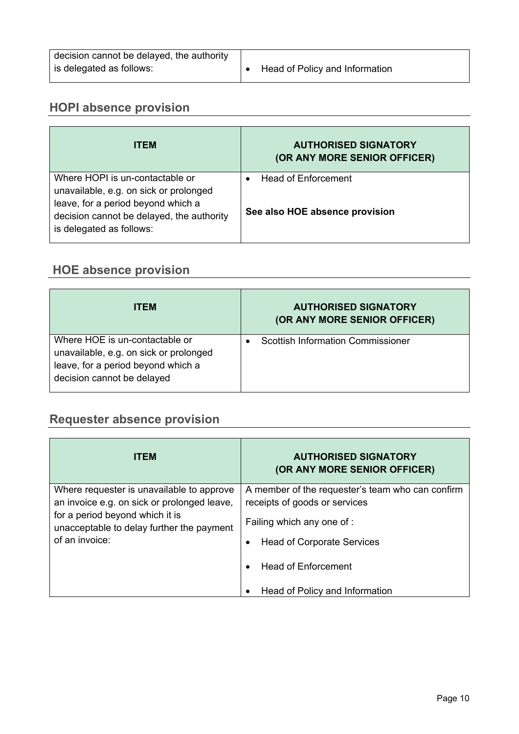| decision cannot be delayed, the authority |                                |
|-------------------------------------------|--------------------------------|
| is delegated as follows:                  | Head of Policy and Information |

#### **HOPI absence provision**

| <b>ITEM</b>                                                                                                                                                                              | <b>AUTHORISED SIGNATORY</b><br>(OR ANY MORE SENIOR OFFICER) |
|------------------------------------------------------------------------------------------------------------------------------------------------------------------------------------------|-------------------------------------------------------------|
| Where HOPI is un-contactable or<br>unavailable, e.g. on sick or prolonged<br>leave, for a period beyond which a<br>decision cannot be delayed, the authority<br>is delegated as follows: | Head of Enforcement<br>See also HOE absence provision       |

#### **HOE absence provision**

| <b>ITEM</b>                                                                                                                                  | <b>AUTHORISED SIGNATORY</b><br>(OR ANY MORE SENIOR OFFICER) |
|----------------------------------------------------------------------------------------------------------------------------------------------|-------------------------------------------------------------|
| Where HOE is un-contactable or<br>unavailable, e.g. on sick or prolonged<br>leave, for a period beyond which a<br>decision cannot be delayed | <b>Scottish Information Commissioner</b>                    |

## **Requester absence provision**

| <b>ITEM</b>                                                                                                                                                                                | <b>AUTHORISED SIGNATORY</b><br>(OR ANY MORE SENIOR OFFICER)                       |
|--------------------------------------------------------------------------------------------------------------------------------------------------------------------------------------------|-----------------------------------------------------------------------------------|
| Where requester is unavailable to approve<br>an invoice e.g. on sick or prolonged leave,<br>for a period beyond which it is<br>unacceptable to delay further the payment<br>of an invoice: | A member of the requester's team who can confirm<br>receipts of goods or services |
|                                                                                                                                                                                            | Failing which any one of :                                                        |
|                                                                                                                                                                                            | <b>Head of Corporate Services</b>                                                 |
|                                                                                                                                                                                            | <b>Head of Enforcement</b>                                                        |
|                                                                                                                                                                                            | Head of Policy and Information                                                    |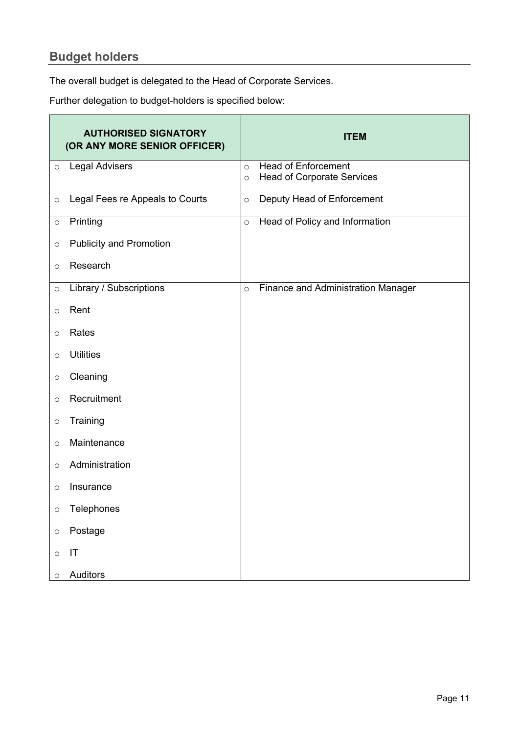## **Budget holders**

 $\mathbf{r}$ 

The overall budget is delegated to the Head of Corporate Services.

Further delegation to budget-holders is specified below:

|         | <b>AUTHORISED SIGNATORY</b><br>(OR ANY MORE SENIOR OFFICER) |         | <b>ITEM</b>                               |
|---------|-------------------------------------------------------------|---------|-------------------------------------------|
| $\circ$ | <b>Legal Advisers</b>                                       | $\circ$ | <b>Head of Enforcement</b>                |
|         |                                                             | $\circ$ | <b>Head of Corporate Services</b>         |
| $\circ$ | Legal Fees re Appeals to Courts                             | $\circ$ | Deputy Head of Enforcement                |
| $\circ$ | Printing                                                    | $\circ$ | Head of Policy and Information            |
| $\circ$ | <b>Publicity and Promotion</b>                              |         |                                           |
| $\circ$ | Research                                                    |         |                                           |
| $\circ$ | Library / Subscriptions                                     | $\circ$ | <b>Finance and Administration Manager</b> |
| $\circ$ | Rent                                                        |         |                                           |
| $\circ$ | Rates                                                       |         |                                           |
| $\circ$ | <b>Utilities</b>                                            |         |                                           |
| $\circ$ | Cleaning                                                    |         |                                           |
| $\circ$ | Recruitment                                                 |         |                                           |
| $\circ$ | Training                                                    |         |                                           |
| $\circ$ | Maintenance                                                 |         |                                           |
| $\circ$ | Administration                                              |         |                                           |
| $\circ$ | Insurance                                                   |         |                                           |
| $\circ$ | Telephones                                                  |         |                                           |
| $\circ$ | Postage                                                     |         |                                           |
| $\circ$ | $\mathsf{I}\mathsf{T}$                                      |         |                                           |
| $\circ$ | Auditors                                                    |         |                                           |

 $\overline{ }$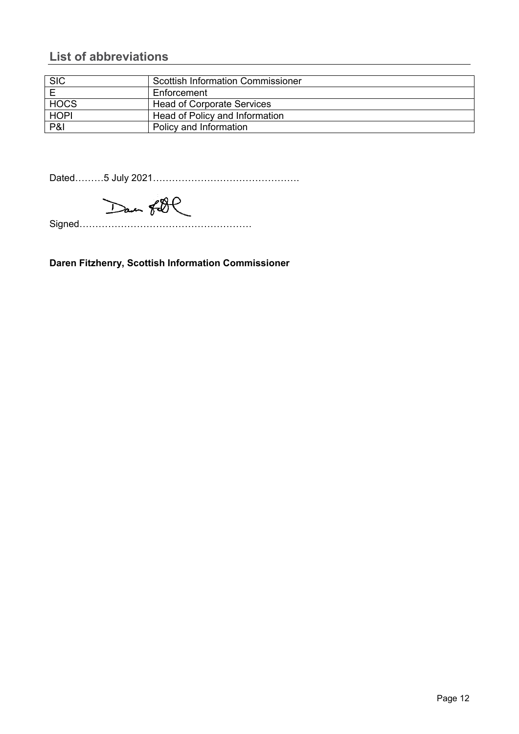#### **List of abbreviations**

| <b>SIC</b>  | <b>Scottish Information Commissioner</b> |
|-------------|------------------------------------------|
|             | Enforcement                              |
| <b>HOCS</b> | <b>Head of Corporate Services</b>        |
| <b>HOPI</b> | Head of Policy and Information           |
| P&I         | Policy and Information                   |

Dated………5 July 2021……………………………………….

Dan fill

Signed………………………………………………

**Daren Fitzhenry, Scottish Information Commissioner**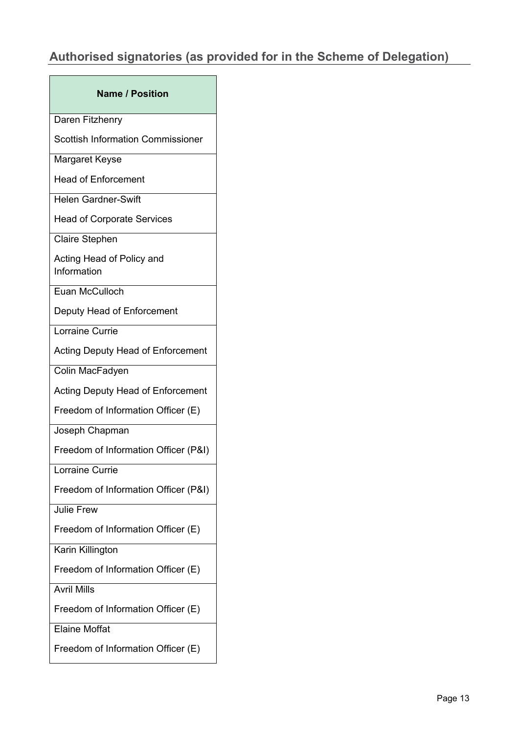## **Authorised signatories (as provided for in the Scheme of Delegation)**

| <b>Name / Position</b>                   |
|------------------------------------------|
| Daren Fitzhenry                          |
| <b>Scottish Information Commissioner</b> |
| Margaret Keyse                           |
| <b>Head of Enforcement</b>               |
| <b>Helen Gardner-Swift</b>               |
| <b>Head of Corporate Services</b>        |
| <b>Claire Stephen</b>                    |
| Acting Head of Policy and<br>Information |
| Euan McCulloch                           |
| Deputy Head of Enforcement               |
| Lorraine Currie                          |
| Acting Deputy Head of Enforcement        |
| Colin MacFadyen                          |
| Acting Deputy Head of Enforcement        |
| Freedom of Information Officer (E)       |
| Joseph Chapman                           |
| Freedom of Information Officer (P&I)     |
| Lorraine Currie                          |
| Freedom of Information Officer (P&I)     |
| <b>Julie Frew</b>                        |
| Freedom of Information Officer (E)       |
| Karin Killington                         |
| Freedom of Information Officer (E)       |
| <b>Avril Mills</b>                       |
| Freedom of Information Officer (E)       |
| <b>Elaine Moffat</b>                     |
| Freedom of Information Officer (E)       |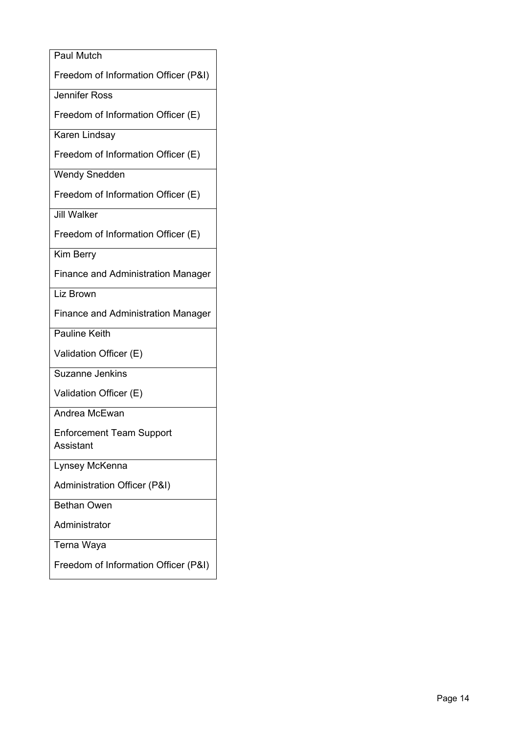| <b>Paul Mutch</b>                            |
|----------------------------------------------|
| Freedom of Information Officer (P&I)         |
| <b>Jennifer Ross</b>                         |
| Freedom of Information Officer (E)           |
| Karen Lindsay                                |
| Freedom of Information Officer (E)           |
| <b>Wendy Snedden</b>                         |
| Freedom of Information Officer (E)           |
| <b>Jill Walker</b>                           |
| Freedom of Information Officer (E)           |
| <b>Kim Berry</b>                             |
| <b>Finance and Administration Manager</b>    |
| Liz Brown                                    |
| <b>Finance and Administration Manager</b>    |
| <b>Pauline Keith</b>                         |
| Validation Officer (E)                       |
| <b>Suzanne Jenkins</b>                       |
| Validation Officer (E)                       |
| Andrea McEwan                                |
| <b>Enforcement Team Support</b><br>Assistant |
| Lynsey McKenna                               |
| Administration Officer (P&I)                 |
| <b>Bethan Owen</b>                           |
| Administrator                                |
| Terna Waya                                   |
| Freedom of Information Officer (P&I)         |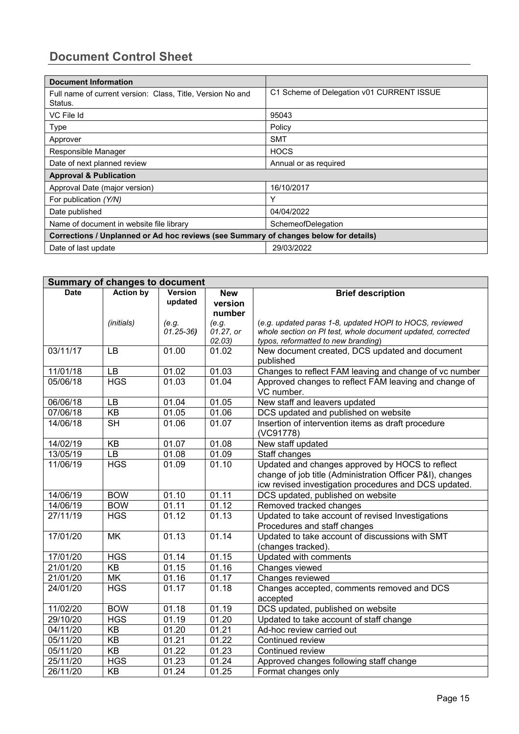#### **Document Control Sheet**

| <b>Document Information</b>                                                          |                                           |  |
|--------------------------------------------------------------------------------------|-------------------------------------------|--|
| Full name of current version: Class, Title, Version No and<br>Status.                | C1 Scheme of Delegation v01 CURRENT ISSUE |  |
| VC File Id                                                                           | 95043                                     |  |
| Type                                                                                 | Policy                                    |  |
| Approver                                                                             | <b>SMT</b>                                |  |
| Responsible Manager                                                                  | <b>HOCS</b>                               |  |
| Date of next planned review                                                          | Annual or as required                     |  |
| <b>Approval &amp; Publication</b>                                                    |                                           |  |
| Approval Date (major version)                                                        | 16/10/2017                                |  |
| For publication (Y/N)                                                                | Υ                                         |  |
| Date published                                                                       | 04/04/2022                                |  |
| Name of document in website file library                                             | SchemeofDelegation                        |  |
| Corrections / Unplanned or Ad hoc reviews (see Summary of changes below for details) |                                           |  |
| Date of last update                                                                  | 29/03/2022                                |  |

| <b>Summary of changes to document</b> |                  |                           |                                 |                                                                                                                                                                       |
|---------------------------------------|------------------|---------------------------|---------------------------------|-----------------------------------------------------------------------------------------------------------------------------------------------------------------------|
| <b>Date</b>                           | <b>Action by</b> | <b>Version</b><br>updated | <b>New</b><br>version<br>number | <b>Brief description</b>                                                                                                                                              |
|                                       | (initials)       | (e.g.<br>$01.25 - 36$     | (e.g.<br>01.27, or<br>02.03)    | (e.g. updated paras 1-8, updated HOPI to HOCS, reviewed<br>whole section on PI test, whole document updated, corrected<br>typos, reformatted to new branding)         |
| 03/11/17                              | <b>LB</b>        | 01.00                     | 01.02                           | New document created, DCS updated and document<br>published                                                                                                           |
| 11/01/18                              | <b>LB</b>        | 01.02                     | 01.03                           | Changes to reflect FAM leaving and change of vc number                                                                                                                |
| 05/06/18                              | <b>HGS</b>       | 01.03                     | 01.04                           | Approved changes to reflect FAM leaving and change of<br>VC number.                                                                                                   |
| 06/06/18                              | <b>LB</b>        | 01.04                     | 01.05                           | New staff and leavers updated                                                                                                                                         |
| 07/06/18                              | $\overline{KB}$  | 01.05                     | 01.06                           | DCS updated and published on website                                                                                                                                  |
| 14/06/18                              | <b>SH</b>        | 01.06                     | 01.07                           | Insertion of intervention items as draft procedure<br>(VC91778)                                                                                                       |
| 14/02/19                              | KB               | 01.07                     | 01.08                           | New staff updated                                                                                                                                                     |
| 13/05/19                              | <b>LB</b>        | 01.08                     | 01.09                           | Staff changes                                                                                                                                                         |
| 11/06/19                              | <b>HGS</b>       | 01.09                     | 01.10                           | Updated and changes approved by HOCS to reflect<br>change of job title (Administration Officer P&I), changes<br>icw revised investigation procedures and DCS updated. |
| 14/06/19                              | <b>BOW</b>       | 01.10                     | 01.11                           | DCS updated, published on website                                                                                                                                     |
| 14/06/19                              | <b>BOW</b>       | 01.11                     | 01.12                           | Removed tracked changes                                                                                                                                               |
| 27/11/19                              | <b>HGS</b>       | 01.12                     | 01.13                           | Updated to take account of revised Investigations<br>Procedures and staff changes                                                                                     |
| 17/01/20                              | <b>MK</b>        | 01.13                     | 01.14                           | Updated to take account of discussions with SMT<br>(changes tracked).                                                                                                 |
| 17/01/20                              | <b>HGS</b>       | 01.14                     | 01.15                           | Updated with comments                                                                                                                                                 |
| 21/01/20                              | KB               | 01.15                     | 01.16                           | Changes viewed                                                                                                                                                        |
| 21/01/20                              | MK               | 01.16                     | 01.17                           | Changes reviewed                                                                                                                                                      |
| 24/01/20                              | <b>HGS</b>       | 01.17                     | 01.18                           | Changes accepted, comments removed and DCS<br>accepted                                                                                                                |
| 11/02/20                              | <b>BOW</b>       | 01.18                     | 01.19                           | DCS updated, published on website                                                                                                                                     |
| 29/10/20                              | <b>HGS</b>       | 01.19                     | 01.20                           | Updated to take account of staff change                                                                                                                               |
| 04/11/20                              | KB               | 01.20                     | 01.21                           | Ad-hoc review carried out                                                                                                                                             |
| 05/11/20                              | KB               | 01.21                     | 01.22                           | Continued review                                                                                                                                                      |
| 05/11/20                              | <b>KB</b>        | 01.22                     | 01.23                           | Continued review                                                                                                                                                      |
| 25/11/20                              | <b>HGS</b>       | 01.23                     | 01.24                           | Approved changes following staff change                                                                                                                               |
| 26/11/20                              | <b>KB</b>        | 01.24                     | 01.25                           | Format changes only                                                                                                                                                   |